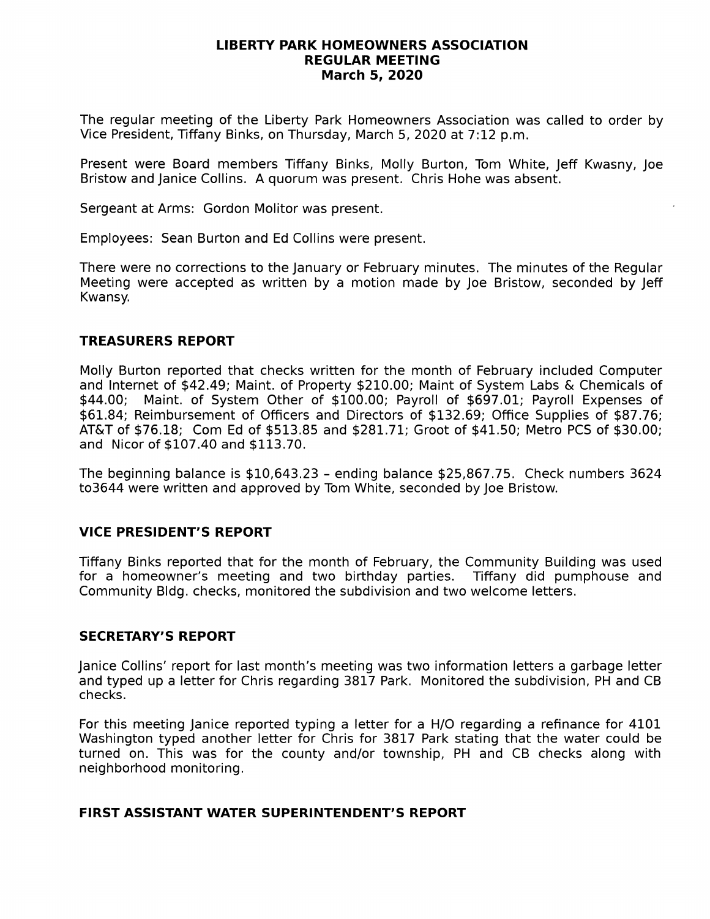#### LIBERTY PARK HOMEOWNERS ASSOCIATION REGULAR MEETING March 5,2O2O

The regular meeting of the Libefty Park Homeowners Association was called to order by Vice President, Tiffany Binks, on Thursday, March 5,2020 at 7:12 p.m.

Present were Board members Tiffany Binks, Molly Burton, Tom White, Jeff Kwasny, Joe Bristow and Janice Collins. A quorum was present. Chris Hohe was absent.

Sergeant at Arms: Gordon Molitor was present.

Employees: Sean Burton and Ed Collins were present.

There were no corrections to the January or February minutes. The minutes of the Regular Meeting were accepted as written by a motion made by Joe Bristow, seconded by Jeff Kwansy.

## TREASURERS REPORT

Molly Burton reported that checks written for the month of February included Computer and Internet of \$42.49; Maint. of Property \$210.00; Maint of System Labs & Chemicals of \$44.00: Maint. of System Other of \$100.00: Payroll of \$697.01: Payroll Expenses of Maint. of System Other of \$100.00; Payroll of \$697.01; Payroll Expenses of \$6L.84; Reimbursement of Officers and Directors of \$l-32.69; Office Supplies of \$87.76; AT&T of \$76.18; Com Ed of \$513.85 and \$281.71; Groot of \$41.50; Metro PCS of \$30.00; and Nicor of \$107.40 and \$L13.70.

The beginning balance is \$10,643.23 - ending balance \$25,867.75. Check numbers 3624 to3644 were written and approved by Tom White, seconded by Joe Bristow.

#### VICE PRESIDENT'S REPORT

Tiffany Binks reported that for the month of February, the Community Building was used for a homeowner's meeting and two birthday parties. Tiffany did pumphouse and Community Bldg. checks, monitored the subdivision and two welcome letters.

#### SECRETARY'S REPORT

Janice Collins' report for last month's meeting was two information letters a garbage letter and typed up a letter for Chris regarding 3817 Park. Monitored the subdivision, PH and CB checks.

For this meeting Janice reported typing a letter for a H/O regarding a refinance for 410L Washington typed another letter for Chris for 38L7 Park stating that the water could be turned on. This was for the county and/or township, PH and CB checks along with neighborhood monitoring.

#### FIRST ASSISTANT WATER SUPERINTENDENT'S REPORT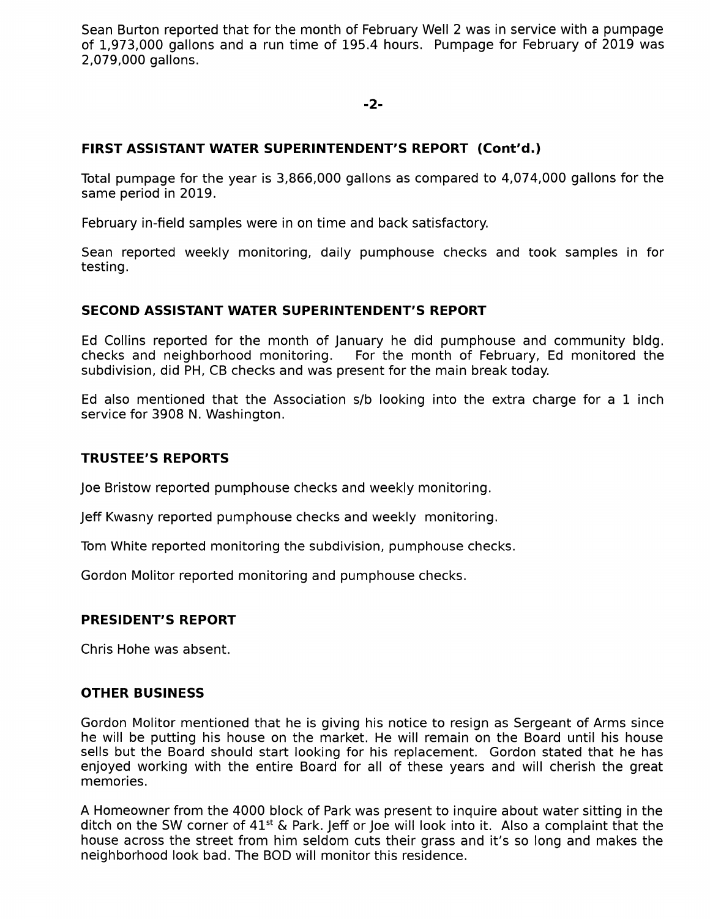Sean Burton reported that for the month of February Well 2 was in service with a pumpage of 1,973,000 gallons and a run time of L95.4 hours. Pumpage for February of 2019 was 2,079,000 gallons.

-2-

## FIRST ASSISTANT WATER SUPERINTENDENT'S REPORT (Cont'd.)

Total pumpage for the year is 3,866,000 gallons as compared to 4,074,000 gallons for the same period in 2019.

February in-field samples were in on time and back satisfactory.

Sean reported weekly monitoring, daily pumphouse checks and took samples in for testing.

#### SECOND ASSISTANT WATER SUPERINTENDENT'S REPORT

Ed Collins reported for the month of January he did pumphouse and community bldg. checks and neighborhood monitoring. For the month of February, Ed monitored the subdivision, did PH, CB checks and was present for the main break today.

Ed also mentioned that the Association s/b looking into the extra charge for a L inch service for 3908 N. Washington.

### TRUSTEE'S REPORTS

Joe Bristow reported pumphouse checks and weekly monitoring.

Jeff Kwasny reported pumphouse checks and weekly monitoring.

Tom White reported monitoring the subdivision, pumphouse checks.

Gordon Molitor reported monitoring and pumphouse checks.

#### PRESIDENT'S REPORT

Chris Hohe was absent.

#### OTHER BUSINESS

Gordon Molitor mentioned that he is giving his notice to resign as Sergeant of Arms since he will be putting his house on the market. He will remain on the Board until his house sells but the Board should start looking for his replacement. Gordon stated that he has enjoyed working with the entire Board for all of these years and will cherish the great memories.

A Homeowner from the 4000 block of Park was present to inquire about water sitting in the ditch on the SW corner of  $41^{st}$  & Park. Jeff or Joe will look into it. Also a complaint that the house across the street from him seldom cuts their grass and it's so long and makes the neighborhood look bad. The BOD will monitor this residence.